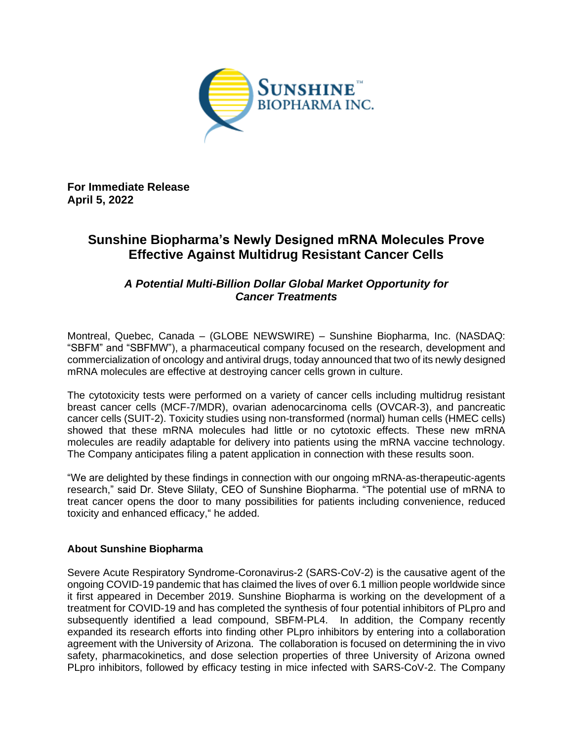

**For Immediate Release April 5, 2022**

# **Sunshine Biopharma's Newly Designed mRNA Molecules Prove Effective Against Multidrug Resistant Cancer Cells**

## *A Potential Multi-Billion Dollar Global Market Opportunity for Cancer Treatments*

Montreal, Quebec, Canada – (GLOBE NEWSWIRE) – Sunshine Biopharma, Inc. (NASDAQ: "SBFM" and "SBFMW"), a pharmaceutical company focused on the research, development and commercialization of oncology and antiviral drugs, today announced that two of its newly designed mRNA molecules are effective at destroying cancer cells grown in culture.

The cytotoxicity tests were performed on a variety of cancer cells including multidrug resistant breast cancer cells (MCF-7/MDR), ovarian adenocarcinoma cells (OVCAR-3), and pancreatic cancer cells (SUIT-2). Toxicity studies using non-transformed (normal) human cells (HMEC cells) showed that these mRNA molecules had little or no cytotoxic effects. These new mRNA molecules are readily adaptable for delivery into patients using the mRNA vaccine technology. The Company anticipates filing a patent application in connection with these results soon.

"We are delighted by these findings in connection with our ongoing mRNA-as-therapeutic-agents research," said Dr. Steve Slilaty, CEO of Sunshine Biopharma. "The potential use of mRNA to treat cancer opens the door to many possibilities for patients including convenience, reduced toxicity and enhanced efficacy," he added.

### **About Sunshine Biopharma**

Severe Acute Respiratory Syndrome-Coronavirus-2 (SARS-CoV-2) is the causative agent of the ongoing COVID-19 pandemic that has claimed the lives of over 6.1 million people worldwide since it first appeared in December 2019. Sunshine Biopharma is working on the development of a treatment for COVID-19 and has completed the synthesis of four potential inhibitors of PLpro and subsequently identified a lead compound, SBFM-PL4. In addition, the Company recently expanded its research efforts into finding other PLpro inhibitors by entering into a collaboration agreement with the University of Arizona. The collaboration is focused on determining the in vivo safety, pharmacokinetics, and dose selection properties of three University of Arizona owned PLpro inhibitors, followed by efficacy testing in mice infected with SARS-CoV-2. The Company